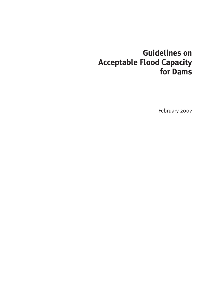# **Guidelines on Acceptable Flood Capacity for Dams**

February 2007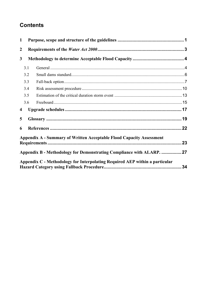### **Contents**

| 1                       |     |                                                                             |  |  |  |  |  |
|-------------------------|-----|-----------------------------------------------------------------------------|--|--|--|--|--|
| $\boldsymbol{2}$        |     |                                                                             |  |  |  |  |  |
| $\mathbf{3}$            |     |                                                                             |  |  |  |  |  |
|                         | 3.1 |                                                                             |  |  |  |  |  |
|                         | 3.2 |                                                                             |  |  |  |  |  |
|                         | 3.3 |                                                                             |  |  |  |  |  |
|                         | 3.4 |                                                                             |  |  |  |  |  |
|                         | 3.5 |                                                                             |  |  |  |  |  |
|                         | 3.6 |                                                                             |  |  |  |  |  |
| $\overline{\mathbf{4}}$ |     |                                                                             |  |  |  |  |  |
| 5                       |     |                                                                             |  |  |  |  |  |
| 6                       |     |                                                                             |  |  |  |  |  |
|                         |     | <b>Appendix A - Summary of Written Acceptable Flood Capacity Assessment</b> |  |  |  |  |  |
|                         |     | Appendix B - Methodology for Demonstrating Compliance with ALARP.  27       |  |  |  |  |  |
|                         |     | Appendix C - Methodology for Interpolating Required AEP within a particular |  |  |  |  |  |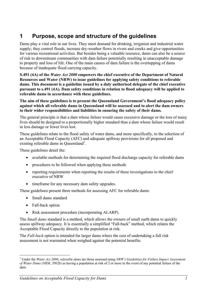## **1 Purpose, scope and structure of the guidelines**

Dams play a vital role in our lives. They meet demand for drinking, irrigation and industrial water supply; they control floods, increase dry-weather flows in rivers and creeks and give opportunities for various recreational activities. But besides being a valuable resource, dams can also be a source of risk to downstream communities with dam failure potentially resulting in unacceptable damage to property and loss of life. One of the main causes of dam failure is the overtopping of dams because of inadequate flood carrying capacity.

**S.491 (4A) of the** *Water Act 2000* **empowers the chief executive of the Department of Natural Resources and Water (NRW) to issue guidelines for applying safety conditions to referable dams. This document is a guideline issued by a duly authorised delegate of the chief executive pursuant to s.491 (4A). Dam safety conditions in relation to flood adequacy will be applied to referable dams in accordance with these guidelines.** 

**The aim of these guidelines is to present the Queensland Government's flood adequacy policy against which all referable dams in Queensland will be assessed and to alert the dam owners to their wider responsibilities and liabilities in ensuring the safety of their dams.** 

The general principle is that a dam whose failure would cause excessive damage or the loss of many lives should be designed to a proportionally higher standard than a dam whose failure would result in less damage or fewer lives lost.

These guidelines relate to the flood safety of water dams, and more specifically, to the selection of an Acceptable Flood Capacity (AFC) and adequate spillway provisions for all proposed and existing referable dams in Queensland<sup>1</sup>.

These guidelines detail the:

- available methods for determining the required flood discharge capacity for referable dams
- procedures to be followed when applying these methods
- reporting requirements when reporting the results of these investigations to the chief executive of NRW
- timeframe for any necessary dam safety upgrades.

These guidelines present three methods for assessing AFC for referable dams:

- Small dams standard
- Fall-back option
- Risk assessment procedure (incorporating ALARP).

The *Small dams* standard is a method, which allows the owners of small earth dams to quickly assess spillway adequacy. It is essentially a simplified "Fall-back" method, which relates the Acceptable Flood Capacity directly to the population at risk.

The *Fall-back* option is intended for larger dams where the cost of undertaking a full risk assessment is not warranted when weighed against the potential benefits.

 $\overline{a}$ 1 Under the *Water Act 2000*, *referable dams* are those assessed using *NRW's Guidelines for Failure Impact Assessment of Water Dams (NRM, 2002b)* as having a population at risk of 2 or more in the event of any potential failure of the dam.

*Guidelines on Acceptable Flood Capacity for Dams 1*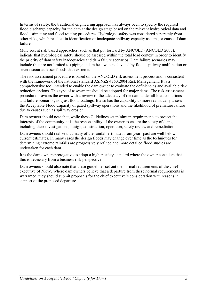In terms of safety, the traditional engineering approach has always been to specify the required flood discharge capacity for the dam at the design stage based on the relevant hydrological data and flood estimating and flood routing procedures. Hydrologic safety was considered separately from other risks, which resulted in identification of inadequate spillway capacity as a major cause of dam failure.

More recent risk based approaches, such as that put forward by ANCOLD (ANCOLD 2003), indicate that hydrological safety should be assessed within the total load context in order to identify the priority of dam safety inadequacies and dam failure scenarios. Dam failure scenarios may include (but are not limited to) piping at dam headwaters elevated by flood, spillway malfunction or severe scour at lesser floods than extreme.

The risk assessment procedure is based on the ANCOLD risk assessment process and is consistent with the framework of the national standard AS/NZS 4360:2004 Risk Management. It is a comprehensive tool intended to enable the dam owner to evaluate the deficiencies and available risk reduction options. This type of assessment should be adopted for major dams. The risk assessment procedure provides the owner with a review of the adequacy of the dam under all load conditions and failure scenarios, not just flood loadings. It also has the capability to more realistically assess the Acceptable Flood Capacity of gated spillway operations and the likelihood of premature failure due to causes such as spillway erosion.

Dam owners should note that, while these Guidelines set minimum requirements to protect the interests of the community, it is the responsibility of the owner to ensure the safety of dams, including their investigations, design, construction, operation, safety review and remediation.

Dam owners should realize that many of the rainfall estimates from years past are well below current estimates. In many cases the design floods may change over time as the techniques for determining extreme rainfalls are progressively refined and more detailed flood studies are undertaken for each dam.

It is the dam owners prerogative to adopt a higher safety standard where the owner considers that this is necessary from a business risk perspective.

Dam owners should also note that these guidelines set out the normal requirements of the chief executive of NRW. Where dam owners believe that a departure from these normal requirements is warranted, they should submit proposals for the chief executive's consideration with reasons in support of the proposed departure.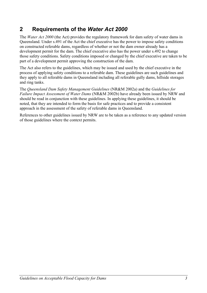## **2 Requirements of the** *Water Act 2000*

The *Water Act 2000* (the Act) provides the regulatory framework for dam safety of water dams in Queensland. Under s.491 of the Act the chief executive has the power to impose safety conditions on constructed referable dams, regardless of whether or not the dam owner already has a development permit for the dam. The chief executive also has the power under s.492 to change those safety conditions. Safety conditions imposed or changed by the chief executive are taken to be part of a development permit approving the construction of the dam.

The Act also refers to the guidelines, which may be issued and used by the chief executive in the process of applying safety conditions to a referable dam. These guidelines are such guidelines and they apply to all referable dams in Queensland including all referable gully dams, hillside storages and ring tanks.

The *Queensland Dam Safety Management Guidelines* (NR&M 2002a) and the *Guidelines for Failure Impact Assessment of Water Dams* (NR&M 2002b) have already been issued by NRW and should be read in conjunction with these guidelines. In applying these guidelines, it should be noted, that they are intended to form the basis for safe practices and to provide a consistent approach in the assessment of the safety of referable dams in Queensland.

References to other guidelines issued by NRW are to be taken as a reference to any updated version of those guidelines where the context permits.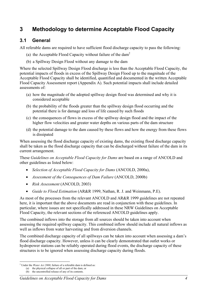## **3 Methodology to determine Acceptable Flood Capacity**

#### **3.1 General**

All referable dams are required to have sufficient flood discharge capacity to pass the following:

- (a) the Acceptable Flood Capacity without failure of the dam2
- (b) a Spillway Design Flood without any damage to the dam

Where the selected Spillway Design Flood discharge is less than the Acceptable Flood Capacity, the potential impacts of floods in excess of the Spillway Design Flood up to the magnitude of the Acceptable Flood Capacity shall be identified, quantified and documented in the written Acceptable Flood Capacity Assessment report (Appendix A). Such potential impacts shall include detailed assessments of:

- (a) how the magnitude of the adopted spillway design flood was determined and why it is considered acceptable
- (b) the probability of the floods greater than the spillway design flood occurring and the potential there is for damage and loss of life caused by such floods
- (c) the consequences of flows in excess of the spillway design flood and the impact of the higher flow velocities and greater water depths on various parts of the dam structure
- (d) the potential damage to the dam caused by these flows and how the energy from these flows is dissipated

When assessing the flood discharge capacity of existing dams, the existing flood discharge capacity shall be taken as the flood discharge capacity that can be discharged without failure of the dam in its current arrangement.

These *Guidelines on Acceptable Flood Capacity for Dams* are based on a range of ANCOLD and other guidelines as listed below:

- *Selection of Acceptable Flood Capacity for Dams* (ANCOLD, 2000a),
- *Assessment of the Consequences of Dam Failure* (ANCOLD, 2000b)
- *Risk Assessment* (ANCOLD, 2003)
- *Guide to Flood Estimation* (AR&R 1999, Nathan, R. J. and Weinmann, P.E).

As most of the processes from the relevant ANCOLD and AR&R 1999 guidelines are not repeated here, it is important that the above documents are read in conjunction with these guidelines. In particular, where issues are not specifically addressed in these NRW Guidelines on Acceptable Flood Capacity, the relevant sections of the referenced ANCOLD guidelines apply.

The combined inflows into the storage from all sources should be taken into account when assessing the required spillway capacity. This combined inflow should include all natural inflows as well as inflows from water harvesting and from diversion channels.

The combined discharge capacity of all spillways can be taken into account when assessing a dam's flood discharge capacity. However, unless it can be clearly demonstrated that outlet works or hydropower stations can be reliably operated during flood events, the discharge capacity of these structures is to be ignored when assessing discharge capacity during floods.

<sup>&</sup>lt;sup>2</sup> Under the *Water Act 2000*, failure of a referable dam is defined as:

<sup>(</sup>a) the physical collapse of all or part of the dam; or

<sup>(</sup>b) the uncontrolled release of any of its contents.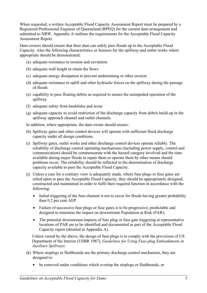When requested, a written Acceptable Flood Capacity Assessment Report must be prepared by a Registered Professional Engineer of Queensland (RPEQ) for the current dam arrangement and submitted to NRW. Appendix A outlines the requirements for the Acceptable Flood Capacity Assessment Report.

Dam owners should ensure that their dam can safely pass floods up to the Acceptable Flood Capacity. Also the following characteristics or features for the spillway and outlet works where appropriate should be demonstrated:

- (a) adequate resistance to erosion and cavitation
- (b) adequate wall height to retain the flows
- (c) adequate energy dissipation to prevent undermining or other erosion
- (d) adequate resistance to uplift and other hydraulic forces on the spillway during the passage of floods
- (e) capability to pass floating debris as required to ensure the unimpeded operation of the spillway
- (f) adequate safety from landslides and scour
- (g) adequate capacity to avoid restriction of the discharge capacity from debris build-up in the spillway approach channel and outlet channels.

In addition, where appropriate, the dam owner should ensure:

- (h) Spillway gates and other control devices will operate with sufficient flood discharge capacity under all design conditions.
- (i) Spillway gates, outlet works and other discharge control devices operate reliably. The reliability of discharge control operating mechanisms (including power supply, control and communication) should be commensurate with the hazard category involved and the time available during major floods to repair them or operate them by other means should problems occur. The reliability should be reflected in the determination of discharge capacity available to pass the Acceptable Flood Capacity.
- (j) Unless a case for a contrary view is adequately made, where fuse plugs or fuse gates are relied upon to pass the Acceptable Flood Capacity, they should be appropriately designed, constructed and maintained in order to fulfil their required function in accordance with the following:
	- Initial triggering of the fuse element is not to occur for floods having greater probability than 0.2 per cent AEP
	- Failure of successive fuse plugs or fuse gates is to be progressive, predictable and designed to minimise the impact on downstream Population at Risk (PAR);
	- The potential downstream impacts of fuse plug or fuse gate triggering at representative locations of PAR are to be identified and documented as part of the Acceptable Flood Capacity report (detailed in Appendix A).

Unless varied by the above, the design of fuse plugs is to comply with the provisions of US Department of the Interior (USBR 1987), *Guidelines for Using Fuse-plug Embankments in Auxiliary Spillways*.

- (k) Where stoplogs or flashboards are the primary discharge control mechanism, they are designed to:
	- be removed under conditions which overtop the stoplogs or flashboards, or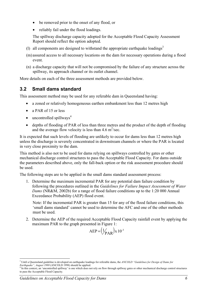- be removed prior to the onset of any flood, or
- reliably fail under the flood loadings.

The spillway discharge capacity adopted for the Acceptable Flood Capacity Assessment Report should reflect the option adopted.

- (1) all components are designed to withstand the appropriate earthquake loadings<sup>3</sup>
- (m) assured access to all necessary locations on the dam for necessary operations during a flood event.
- (n) a discharge capacity that will not be compromised by the failure of any structure across the spillway, its approach channel or its outlet channel.

More details on each of the three assessment methods are provided below.

### **3.2 Small dams standard**

This assessment method may be used for any referable dam in Queensland having:

- a zoned or relatively homogeneous earthen embankment less than 12 metres high
- a PAR of 15 or less
- uncontrolled spillways<sup>4</sup>
- depths of flooding of PAR of less than three metres and the product of the depth of flooding and the average flow velocity is less than  $4.6 \text{ m}^2/\text{sec}$ .

It is expected that such levels of flooding are unlikely to occur for dams less than 12 metres high unless the discharge is severely concentrated in downstream channels or where the PAR is located in very close proximity to the dam.

This method is also not to be used for dams relying on spillways controlled by gates or other mechanical discharge control structures to pass the Acceptable Flood Capacity. For dams outside the parameters described above, only the fall-back option or the risk assessment procedure should be used.

The following steps are to be applied in the small dams standard assessment process:

1. Determine the maximum incremental PAR for any potential dam failure condition by following the procedures outlined in the *Guidelines for Failure Impact Assessment of Water Dams* (NR&M, 2002b) for a range of flood failure conditions up to the 1:20 000 Annual Exceedance Probability (AEP) flood event.

Note: If the incremental PAR is greater than 15 for any of the flood failure conditions, this 'small dams standard' cannot be used to determine the AFC and one of the other methods must be used.

2. Determine the AEP of the required Acceptable Flood Capacity rainfall event by applying the maximum PAR to the graph presented in Figure 1:

$$
AEP = (\frac{1}{PAR}) \times 10^{-3}
$$

 $\overline{a}$ 3 Until a Queensland guideline is developed on earthquake loadings for referable dams, the *ANCOLD "Guidelines for Design of Dams for Earthquake", August 1998* (ANCOLD 1998) should be applied. 4

<sup>&</sup>lt;sup>4</sup> In this context, an 'uncontrolled spillway' is one which does not rely on flow through spillway gates or other mechanical discharge control structures to pass the Acceptable Flood Capacity.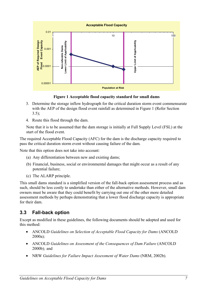

**Figure 1 Acceptable flood capacity standard for small dams** 

- 3. Determine the storage inflow hydrograph for the critical duration storm event commensurate with the AEP of the design flood event rainfall as determined in Figure 1 (Refer Section  $3.5$ ;
- 4. Route this flood through the dam.

Note that it is to be assumed that the dam storage is initially at Full Supply Level (FSL) at the start of the flood event.

The required Acceptable Flood Capacity (AFC) for the dam is the discharge capacity required to pass the critical duration storm event without causing failure of the dam.

Note that this option does not take into account:

- (a) Any differentiation between new and existing dams;
- (b) Financial, business, social or environmental damages that might occur as a result of any potential failure;
- (c) The ALARP principle.

This small dams standard is a simplified version of the fall-back option assessment process and as such, should be less costly to undertake than either of the alternative methods. However, small dam owners must be aware that they could benefit by carrying out one of the other more detailed assessment methods by perhaps demonstrating that a lower flood discharge capacity is appropriate for their dam.

#### **3.3 Fall-back option**

Except as modified in these guidelines, the following documents should be adopted and used for this method:

- ANCOLD *Guidelines on Selection of Acceptable Flood Capacity for Dams* (ANCOLD 2000a)*;*
- ANCOLD *Guidelines on Assessment of the Consequences of Dam Failure* (ANCOLD 2000b)*;* and
- NRW *Guidelines for Failure Impact Assessment of Water Dams* (NRM, 2002b).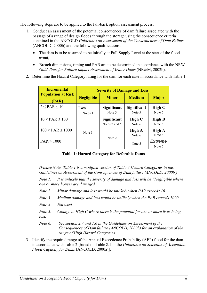The following steps are to be applied to the fall-back option assessment process:

- 1. Conduct an assessment of the potential consequences of dam failure associated with the passage of a range of design floods through the storage using the consequence criteria contained in the ANCOLD *Guidelines on Assessment of the Consequences of Dam Failure* (ANCOLD, 2000b) and the following qualifications:
	- The dam is to be assumed to be initially at Full Supply Level at the start of the flood event;
	- Breach dimensions, timing and PAR are to be determined in accordance with the NRW *Guidelines for Failure Impact Assessment of Water Dams* (NR&M, 2002b).
- 2. Determine the Hazard Category rating for the dam for each case in accordance with Table 1:

| <b>Incremental</b>                 | <b>Severity of Damage and Loss</b> |                              |                         |                          |  |  |  |
|------------------------------------|------------------------------------|------------------------------|-------------------------|--------------------------|--|--|--|
| <b>Population at Risk</b><br>(PAR) | <b>Negligible</b>                  | <b>Minor</b>                 | <b>Medium</b>           | <b>Major</b>             |  |  |  |
| $2 \leq PAR \leq 10$               | Low<br>Notes 1                     | Significant<br>Note 5        | Significant<br>Note 5   | High $C$<br>Note 6       |  |  |  |
| $10 < PAR \le 100$                 |                                    | Significant<br>Notes 2 and 5 | High C<br>Note 6        | <b>High B</b><br>Note 6  |  |  |  |
| $100 < PAR \le 1000$               | Note 1                             | Note 2                       | <b>High A</b><br>Note 6 | <b>High A</b><br>Note 6  |  |  |  |
| PAR > 1000                         |                                    |                              | Note 3                  | <b>Extreme</b><br>Note 6 |  |  |  |

**Table 1: Hazard Category for Referable Dams** 

*(Please Note: Table 1 is a modified version of Table 3 Hazard Categories in the, Guidelines on Assessment of the Consequences of Dam failure (ANCOLD, 2000b.)* 

*Note 1: It is unlikely that the severity of damage and loss will be "Negligible where one or more houses are damaged.* 

- *Note 2: Minor damage and loss would be unlikely when PAR exceeds 10.*
- *Note 3: Medium damage and loss would be unlikely when the PAR exceeds 1000.*
- *Note 4: Not used.*
- *Note 5: Change to High C where there is the potential for one or more lives being lost.*
- *Note 6: See section 2.7 and 1.6 in the Guidelines on Assessment of the Consequences of Dam failure (ANCOLD, 2000b) for an explanation of the range of High Hazard Categories.*
- 3. Identify the required range of the Annual Exceedence Probability (AEP) flood for the dam in accordance with Table 2 [based on Table 8.1 in the *Guidelines on Selection of Acceptable Flood Capacity for Dams* (ANCOLD, 2000a)]: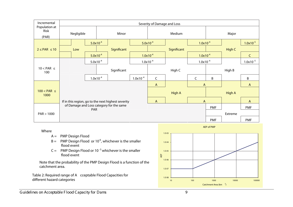| Incremental                    | Severity of Damage and Loss                        |               |                                          |               |               |               |                |              |               |               |
|--------------------------------|----------------------------------------------------|---------------|------------------------------------------|---------------|---------------|---------------|----------------|--------------|---------------|---------------|
| Population at<br>Risk<br>(PAR) | Negligible                                         |               | Minor                                    |               | Medium        |               |                | Major        |               |               |
|                                |                                                    | $5.0x10^{-4}$ |                                          |               | $5.0x10^{-4}$ |               | $1.0x10^{-4}$  |              |               | $1.0x10^{-5}$ |
| $2 \leq PAR \leq 10$           | Low                                                |               | Significant                              |               |               | Significant   |                |              | High C        |               |
|                                |                                                    | $5.0x10^{-4}$ |                                          |               | $1.0x10^{-4}$ |               | $1.0x10^{-4}$  |              |               | $\mathsf{C}$  |
|                                |                                                    | $5.0x10^{-4}$ |                                          |               | $1.0x10^{-4}$ |               | $1.0x10^{-4}$  |              |               | $1.0x10^{-5}$ |
| $10 < PAR \leq$<br>100         |                                                    |               | Significant                              |               | High C        |               |                |              | High B        |               |
|                                |                                                    | $1.0x10^{-4}$ |                                          | $1.0x10^{-4}$ | $\mathsf{C}$  |               | $\mathsf{C}$   | B            |               | B             |
|                                | If in this region, go to the next highest severity |               |                                          |               | $\mathsf{A}$  |               | $\mathsf{A}$   | $\mathsf{A}$ |               |               |
| $100 < PAR \leq$<br>1000       |                                                    |               |                                          |               |               | <b>High A</b> |                |              | <b>High A</b> |               |
|                                |                                                    |               |                                          |               | A             |               | $\overline{A}$ |              |               | $\mathsf{A}$  |
|                                |                                                    | <b>PAR</b>    | of Damage and Loss category for the same |               |               |               |                | <b>PMF</b>   |               | <b>PMF</b>    |
| PAR > 1000                     |                                                    |               |                                          |               |               |               |                |              | Extreme       |               |
|                                |                                                    |               |                                          |               |               |               |                | <b>PMF</b>   |               | <b>PMF</b>    |

Where

- A <sup>=</sup> PMP Design Flood
- $B = PMP$  Design Flood or 10<sup>-6</sup>, whichever is the smaller flood event
- $C = PMP$  Design Flood or 10<sup>-5</sup> whichever is the smaller flood event

Note that the probability of the PMP Design Flood is a function of the catchment area.

**Table 2: Required range of A cceptable Flood Capacities for dierent hazard categories**

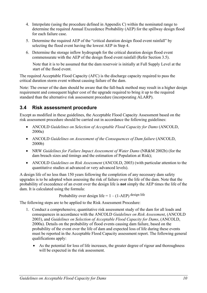- 4. Interpolate (using the procedure defined in Appendix C) within the nominated range to determine the required Annual Exceedence Probability (AEP) for the spillway design flood for each failure case.
- 5. Determine the required AEP of the "critical duration design flood event rainfall" by selecting the flood event having the lowest AEP in Step 4.
- 6. Determine the storage inflow hydrograph for the critical duration design flood event commensurate with the AEP of the design flood event rainfall (Refer Section 3.5).

Note that it is to be assumed that the dam reservoir is initially at Full Supply Level at the start of the flood event.

The required Acceptable Flood Capacity (AFC) is the discharge capacity required to pass the critical duration storm event without causing failure of the dam.

Note: The owner of the dam should be aware that the fall-back method may result in a higher design requirement and consequent higher cost of the upgrade required to bring it up to the required standard than the alternative risk assessment procedure (incorporating ALARP).

### **3.4 Risk assessment procedure**

Except as modified in these guidelines, the Acceptable Flood Capacity Assessment based on the risk assessment procedure should be carried out in accordance the following guidelines:

- ANCOLD *Guidelines on Selection of Acceptable Flood Capacity for Dams* (ANCOLD, 2000a)
- ANCOLD *Guidelines on Assessment of the Consequences of Dam failure* (ANCOLD, 2000b)
- NRW *Guidelines for Failure Impact Assessment of Water Dams* (NR&M 2002b) (for the dam breach sizes and timings and the estimation of Population at Risk);
- ANCOLD *Guidelines on Risk Assessment* (ANCOLD, 2003) (with particular attention to the quantitative studies at advanced or very advanced levels).

A design life of no less than 150 years following the completion of any necessary dam safety upgrades is to be adopted when assessing the risk of failure over the life of the dam. Note that the probability of exceedence of an event over the design life is **not** simply the AEP times the life of the dam. It is calculated using the formula:

Probability over design life =  $1 - (1-AEP)$  design life

The following steps are to be applied to the Risk Assessment Procedure:

- 1. Conduct a comprehensive, quantitative risk assessment study of the dam for all loads and consequences in accordance with the ANCOLD *Guidelines on Risk Assessment*, (ANCOLD 2003), and *Guidelines on Selection of Acceptable Flood Capacity for Dams*, (ANCOLD, 2000a). Details on the probability of flood events causing dam failure, based on the probability of the event over the life of dam and expected loss of life during these events must be reported in the Acceptable Flood Capacity assessment report. The following general qualifications apply:
	- As the potential for loss of life increases, the greater degree of rigour and thoroughness will be expected in the risk assessment.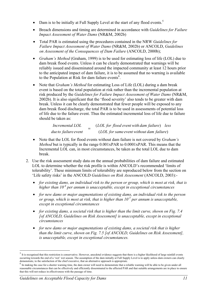- Dam is to be initially at Full Supply Level at the start of any flood events.<sup>5</sup>
- Breach dimensions and timing are determined in accordance with *Guidelines for Failure Impact Assessment of Water Dams* (NR&M, 2002b)
- Total PAR is estimated using the procedures contained in the NRW *Guidelines for Failure Impact Assessment of Water Dams* (NR&M, 2002b) or ANCOLD, *Guidelines on Assessment of the Consequences of Dam Failure* (ANCOLD, 2000b);
- *Graham's Method* (Graham, 1999) is to be used for estimating loss of life (LOL) due to dam break flood events. Unless it can be clearly demonstrated that warnings will be reliably issued and disseminated around the impacted community at least 12 hours prior to the anticipated impact of dam failure, it is to be assumed that no warning is available to the Population at Risk for dam failure events<sup>6</sup>.
- Note that *Graham's Method* for estimating Loss of Life (LOL) during a dam break event is based on the total population at risk rather than the incremental population at risk produced by the *Guidelines for Failure Impact Assessment of Water Dams* (NR&M, 2002b). It is also significant that the 'flood severity' also tends to be greater with dam break. Unless it can be clearly demonstrated that fewer people will be exposed to any dam break flood discharge, the total PAR is to be used in assessments of potential loss of life due to the failure event. Thus the estimated incremental loss of life due to failure should be taken as:

| Incremental LOL      |  | (LOL for flood event with dam failure) less |  |
|----------------------|--|---------------------------------------------|--|
| due to failure event |  | (LOL for same event without dam failure)    |  |

- Note that the LOL for flood events without dam failure is not covered by *Graham's Method* but is typically in the range 0.001xPAR to 0.0001xPAR. This means that the Incremental LOL can, in most circumstances, be taken as the total LOL due to dam break.
- 2. Use the risk assessment study data on the annual probabilities of dam failure and estimated LOL to determine whether the risk profile is within ANCOLD's recommended 'limits of tolerability'. These minimum limits of tolerability are reproduced below from the section on 'Life safety risks' in the ANCOLD *Guidelines on Risk Assessment* (ANCOLD, 2003):-
	- *for existing dams, an individual risk to the person or group, which is most at risk, that is higher than 10-4 per annum is unacceptable, except in exceptional circumstances*
	- *for new dams or major augmentations of existing dams, an individual risk to the person or group, which is most at risk, that is higher than 10-5 per annum is unacceptable, except in exceptional circumstances*
	- *for existing dams, a societal risk that is higher than the limit curve, shown on Fig. 7.4 [of ANCOLD, Guidelines on Risk Assessment] is unacceptable, except in exceptional circumstances*
	- *for new dams or major augmentations of existing dams, a societal risk that is higher than the limit curve, shown on Fig. 7.5 [of ANCOLD, Guidelines on Risk Assessment], is unacceptable, except in exceptional circumstances.*

 $\overline{a}$ 

 $<sup>5</sup>$  It is recognised that this restriction is conservative. However, anecdotal evidence suggests that there is a higher likelihood of large rainfall events</sup> occurring towards the end of a 'wet' wet season. The assumption of the dam initially at Full Supply Level is to apply unless dam owners can clearly demonstrate, to the satisfaction of the chief executive, that an alternative approach is appropriate.<br><sup>6</sup> In making the case for a shorter warning time, the dam owner will need to demonstrate that a reliable warning will b

reasonable circumstances that can be effectively and efficiently disseminated to the affected PAR and that suitable arrangements are in place to ensure that this will not reduce in effectiveness with the passage of time.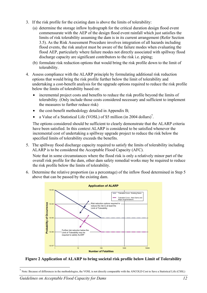- 3. If the risk profile for the existing dam is above the limits of tolerability:
	- (a) determine the storage inflow hydrograph for the critical duration design flood event commensurate with the AEP of the design flood event rainfall which just satisfies the limits of risk tolerability assuming the dam is in its current arrangement (Refer Section 3.5). As the Risk Assessment Procedure involves integration of all hazards including flood events, the risk analyst must be aware of the failure modes when evaluating the flood AEP, particularly where failure modes not directly associated with spillway flood discharge capacity are significant contributors to the risk i.e. piping;
	- (b) formulate risk reduction options that would bring the risk profile down to the limit of tolerability.
- 4. Assess compliance with the ALARP principle by formulating additional risk reduction options that would bring the risk profile further below the limit of tolerability and undertaking a cost-benefit analysis for the upgrade options required to reduce the risk profile below the limits of tolerability based on:
	- incremental project costs and benefits to reduce the risk profile beyond the limits of tolerability. (Only include those costs considered necessary and sufficient to implement the measures to further reduce risk)
	- the cost-benefit methodology detailed in Appendix B;
	- a Value of a Statistical Life (VOSL) of \$5 million (in 2004 dollars)<sup>7</sup>.

The options considered should be sufficient to clearly demonstrate that the ALARP criteria have been satisfied. In this context ALARP is considered to be satisfied whenever the incremental cost of undertaking a spillway upgrade project to reduce the risk below the specified limits of tolerability exceeds the benefits.

- 5. The spillway flood discharge capacity required to satisfy the limits of tolerability including ALARP is to be considered the Acceptable Flood Capacity (AFC). Note that in some circumstances where the flood risk is only a relatively minor part of the overall risk profile for the dam, other dam safety remedial works may be required to reduce the risk profile below the limits of tolerability.
- 6. Determine the relative proportion (as a percentage) of the inflow flood determined in Step 5 above that can be passed by the existing dam.



**Figure 2 Application of ALARP to bring societal risk profile below Limit of Tolerability** 

 $\overline{a}$ 

 $^7$  Note: Because of differences in the methodologies, the VOSL is not directly comparable with the ANCOLD Cost to Save a Statistical Life (CSSL)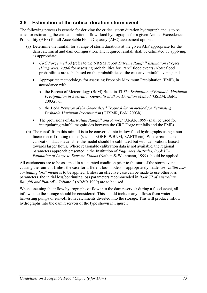#### **3.5 Estimation of the critical duration storm event**

The following process is generic for deriving the critical storm duration hydrograph and is to be used for estimating the critical duration inflow flood hydrographs for a given Annual Exceedence Probability (AEP) for all Acceptable Flood Capacity (AFC) assessment options.

- (a) Determine the rainfall for a range of storm durations at the given AEP appropriate for the dam catchment and dam configuration. The required rainfall shall be estimated by applying, as appropriate:
	- *CRC Forge method* (refer to the NR&M report *Extreme Rainfall Estimation Project (Hargraves, 2004)* for assessing probabilities for "rare" flood events *(*Note: flood probabilities are to be based on the probabilities of the causative rainfall events*)* and
	- Appropriate methodology for assessing Probable Maximum Precipitation (PMP), in accordance with:
		- o the Bureau of Meteorology (BoM) Bulletin 53 *The Estimation of Probable Maximum Precipitation in Australia: Generalised Short Duration Method* (GSDM, BoM, 2003a), or
		- o the BoM *Revision of the Generalised Tropical Storm method for Estimating Probable Maximum Precipitation* (GTSMR, BoM 2003b).
	- The provisions of *Australian Rainfall and Run-off* (AR&R 1999) shall be used for interpolating rainfall magnitudes between the CRC Forge rainfalls and the PMPs.
- (b) The runoff from this rainfall is to be converted into inflow flood hydrographs using a nonlinear run-off routing model (such as RORB, WBNM, RAFTS etc). Where reasonable calibration data is available, the model should be calibrated but with calibrations biased towards larger flows. Where reasonable calibration data is not available, the regional parameters approach presented in the Institution of *Engineers Australia, Book VI– Estimation of Large to Extreme Floods* (Nathan & Weinmann, 1999) should be applied.

All catchments are to be assumed in a saturated condition prior to the start of the storm event causing the rainfall. Unless the case for different loss models is appropriately made, *an "initial losscontinuing loss*" *model* is to be applied. Unless an effective case can be made to use other loss parameters, the initial loss/continuing loss parameters recommended in *Book VI of Australian Rainfall and Run-off – Volume 1* (AR&R 1999) are to be used.

When assessing the inflow hydrographs of flow into the dam reservoir during a flood event, all inflows into the storage should be considered. This should include any inflows from water harvesting pumps or run-off from catchments diverted into the storage. This will produce inflow hydrographs into the dam reservoir of the type shown in Figure 3.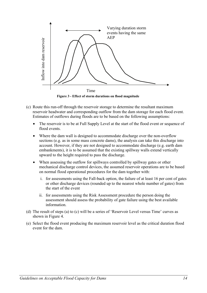

**Figure 3 - Effect of storm durations on flood magnitude** 

- (c) Route this run-off through the reservoir storage to determine the resultant maximum reservoir headwater and corresponding outflow from the dam storage for each flood event. Estimates of outflows during floods are to be based on the following assumptions:
	- The reservoir is to be at Full Supply Level at the start of the flood event or sequence of flood events.
	- Where the dam wall is designed to accommodate discharge over the non-overflow sections (e.g. as in some mass concrete dams), the analysis can take this discharge into account. However, if they are not designed to accommodate discharge (e.g. earth dam embankments), it is to be assumed that the existing spillway walls extend vertically upward to the height required to pass the discharge.
	- When assessing the outflow for spillways controlled by spillway gates or other mechanical discharge control devices, the assumed reservoir operations are to be based on normal flood operational procedures for the dam together with:
		- i. for assessments using the Fall-back option, the failure of at least 16 per cent of gates or other discharge devices (rounded up to the nearest whole number of gates) from the start of the event
		- ii. for assessments using the Risk Assessment procedure the person doing the assessment should assess the probability of gate failure using the best available information.
- (d) The result of steps (a) to (c) will be a series of 'Reservoir Level versus Time' curves as shown in Figure 4.
- (e) Select the flood event producing the maximum reservoir level as the critical duration flood event for the dam.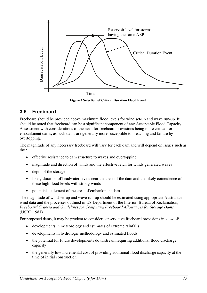

**Figure 4 Selection of Critical Duration Flood Event** 

#### **3.6 Freeboard**

Freeboard should be provided above maximum flood levels for wind set-up and wave run-up. It should be noted that freeboard can be a significant component of any Acceptable Flood Capacity Assessment with considerations of the need for freeboard provisions being more critical for embankment dams, as such dams are generally more susceptible to breaching and failure by overtopping.

The magnitude of any necessary freeboard will vary for each dam and will depend on issues such as the :

- effective resistance to dam structure to waves and overtopping
- magnitude and direction of winds and the effective fetch for winds generated waves
- depth of the storage
- likely duration of headwater levels near the crest of the dam and the likely coincidence of these high flood levels with strong winds
- potential settlement of the crest of embankment dams.

The magnitude of wind set-up and wave run-up should be estimated using appropriate Australian wind data and the processes outlined in US Department of the Interior, Bureau of Reclamation, *Freeboard Criteria and Guidelines for Computing Freeboard Allowances for Storage Dams* (USBR 1981).

For proposed dams, it may be prudent to consider conservative freeboard provisions in view of:

- developments in meteorology and estimates of extreme rainfalls
- developments in hydrologic methodology and estimated floods
- the potential for future developments downstream requiring additional flood discharge capacity
- the generally low incremental cost of providing additional flood discharge capacity at the time of initial construction.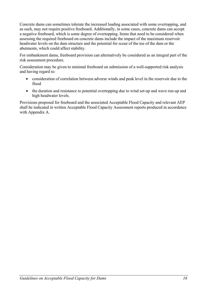Concrete dams can sometimes tolerate the increased loading associated with some overtopping, and as such, may not require positive freeboard. Additionally, in some cases, concrete dams can accept a negative freeboard, which is some degree of overtopping. Items that need to be considered when assessing the required freeboard on concrete dams include the impact of the maximum reservoir headwater levels on the dam structure and the potential for scour of the toe of the dam or the abutments, which could affect stability.

For embankment dams, freeboard provision can alternatively be considered as an integral part of the risk assessment procedure.

Consideration may be given to minimal freeboard on submission of a well-supported risk analysis and having regard to:

- consideration of correlation between adverse winds and peak level in the reservoir due to the flood
- the duration and resistance to potential overtopping due to wind set-up and wave run-up and high headwater levels.

Provisions proposed for freeboard and the associated Acceptable Flood Capacity and relevant AEP shall be indicated in written Acceptable Flood Capacity Assessment reports produced in accordance with Appendix A.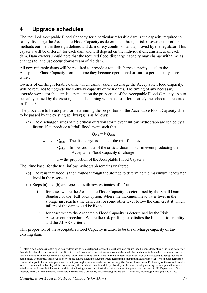# **4 Upgrade schedules**

The required Acceptable Flood Capacity for a particular referable dam is the capacity required to safely discharge the Acceptable Flood Capacity as determined through risk assessment or other methods outlined in these guidelines and dam safety conditions and approved by the regulator. This capacity will be different for each dam and will depend on the individual circumstances of each dam. Dam owners should note that the required flood discharge capacity may change with time as changes to land use occur downstream of the dam.

All new referable dams will be required to provide a total discharge capacity equal to the Acceptable Flood Capacity from the time they become operational or start to permanently store water.

Owners of existing referable dams, which cannot safely discharge the Acceptable Flood Capacity, will be required to upgrade the spillway capacity of their dams. The timing of any necessary upgrade works for the dam is dependent on the proportion of the Acceptable Flood Capacity able to be safely passed by the existing dam. The timing will have to at least satisfy the schedule presented in Table 3.

The procedure to be adopted for determining the proportion of the Acceptable Flood Capacity able to be passed by the existing spillway(s) is as follows:

(a) The discharge values of the critical duration storm event inflow hydrograph are scaled by a factor 'k' to produce a 'trial' flood event such that

 $Q_{\text{trial}} = k Q_{\text{cdse}}$ 

where  $Q<sub>trial</sub>$  = The discharge ordinate of the trial flood event

 $Q_{\text{cdse}}$  = Inflow ordinate of the critical duration storm event producing the Acceptable Flood Capacity discharge

 $k =$  the proportion of the Acceptable Flood Capacity

The 'time base' for the trial inflow hydrograph remains unaltered.

- (b) The resultant flood is then routed through the storage to determine the maximum headwater level in the reservoir.
- (c) Steps (a) and (b) are repeated with new estimates of 'k' until
	- i. for cases where the Acceptable Flood Capacity is determined by the Small Dam Standard or the 'Fall-back option: Where the maximum headwater level in the storage just reaches the dam crest or some other level below the dam crest at which failure of the dam would be likely $8$ .
		- ii. for cases where the Acceptable Flood Capacity is determined by the Risk Assessment Procedure: Where the risk profile just satisfies the limits of tolerability and the ALARP criteria.

This proportion of the Acceptable Flood Capacity is taken to be the discharge capacity of the existing dam.

 $\overline{a}$ 

<sup>&</sup>lt;sup>8</sup> Unless a dam embankment is specifically designed to be overtopped safely, the level at which failure is to be considered 'likely' is to be no higher than the level of the embankment crest. If defects are known to be present in embankment dams which could cause failure when the water level is below the level of the embankment crest, this lower level is to be taken as the 'maximum headwater level'. For dams assessed as being capable of being safely overtopped, this level of overtopping can be taken into account when determining 'maximum headwater level'. When considering the combined impact of wind set-up and waves on top of high reservoir levels due to flooding, the Annual Exceedence Probability of the overall event is to be the combined probability of the flood causing the headwater levels and the probability of the wind event generating the set-up and the waves. Wind set-up and wave heights are to be determined using appropriate Australian wind data and the processes contained in US Department of the Interior, Bureau of Reclamation, *Freeboard Criteria and Guidelines for Computing Freeboard Allowances for Storage Dams* (USBR, 1981).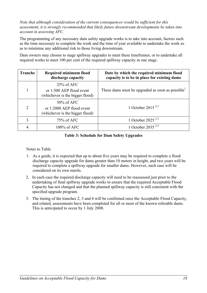#### *Note that although consideration of the current consequences would be sufficient for this assessment, it is strongly recommended that likely future downstream developments be taken into account in assessing AFC.*

The programming of any necessary dam safety upgrade works is to take into account, factors such as the time necessary to complete the work and the time of year available to undertake the work so as to minimise any additional risk to those living downstream.

Dam owners may choose to stage spillway upgrades to meet these timeframes, or to undertake all required works to meet 100 per cent of the required spillway capacity in one stage.

| Tranche        | <b>Required minimum flood</b><br>discharge capacity                           | Date by which the required minimum flood<br>capacity is to be in place for existing dams |
|----------------|-------------------------------------------------------------------------------|------------------------------------------------------------------------------------------|
|                | $25\%$ of AFC<br>or 1:500 AEP flood event<br>(whichever is the bigger flood)  | These dams must be upgraded as soon as possible <sup>1</sup>                             |
| $\overline{2}$ | $50\%$ of AFC<br>or 1:2000 AEP flood event<br>(whichever is the bigger flood) | 1 October 2015 <sup>2,3</sup>                                                            |
| 3              | $75\%$ of AFC                                                                 | 1 October 2025 <sup>2,3</sup>                                                            |
| 4              | 100% of AFC                                                                   | 1 October 2035 <sup>2,3</sup>                                                            |

#### **Table 3: Schedule for Dam Safety Upgrades**

Notes to Table

- 1. As a guide, it is expected that up to about five years may be required to complete a flood discharge capacity upgrade for dams greater than 10 meters in height, and two years will be required to complete a spillway upgrade for smaller dams. However, each case will be considered on its own merits.
- 2. In each case the required discharge capacity will need to be reassessed just prior to the undertaking of final spillway upgrade works to ensure that the required Acceptable Flood Capacity has not changed and that the planned spillway capacity is still consistent with the specified upgrade program.
- 3. The timing of the tranches 2, 3 and 4 will be confirmed once the Acceptable Flood Capacity, and related, assessments have been completed for all or most of the known referable dams. This is anticipated to occur by 1 July 2008.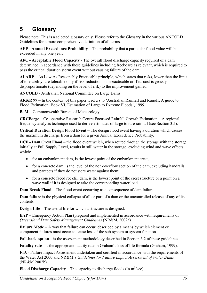## **5 Glossary**

Please note: This is a selected glossary only. Please refer to the Glossary in the various ANCOLD Guidelines for a more comprehensive definition of all terms.

**AEP - Annual Exceedance Probability** – The probability that a particular flood value will be exceeded in any one year.

**AFC - Acceptable Flood Capacity** - The overall flood discharge capacity required of a dam determined in accordance with these guidelines including freeboard as relevant, which is required to pass the critical duration storm event without causing failure of the dam.

**ALARP** – As Low As Reasonably Practicable principle, which states that risks, lower than the limit of tolerability, are tolerable only if risk reduction is impracticable or if its cost is grossly disproportionate (depending on the level of risk) to the improvement gained.

**ANCOLD** - Australian National Committee on Large Dams

**AR&R 99** – In the context of this paper it refers to 'Australian Rainfall and Runoff, A guide to Flood Estimation, Book VI, Estimation of Large to Extreme Floods', 1999.

**BoM** – Commonwealth Bureau of Meteorology

**CRCForge** – Co-operative Research Centre Focussed Rainfall Growth Estimation – A regional frequency analysis technique used to derive estimates of large to rare rainfall (see Section 3.5).

**Critical Duration Design Flood Event** – The design flood event having a duration which causes the maximum discharge from a dam for a given Annual Exceedence Probability.

**DCF - Dam Crest Flood** – the flood event which, when routed through the storage with the storage initially at Full Supply Level, results in still water in the storage, excluding wind and wave effects which:

- for an embankment dam, is the lowest point of the embankment crest,
- for a concrete dam, is the level of the non-overflow section of the dam, excluding handrails and parapets if they do not store water against them;
- for a concrete faced rockfill dam, is the lowest point of the crest structure or a point on a wave wall if it is designed to take the corresponding water load.

**Dam Break Flood** – The flood event occurring as a consequence of dam failure.

**Dam failure** is the physical collapse of all or part of a dam or the uncontrolled release of any of its contents.

**Design Life** – The useful life for which a structure is designed.

**EAP** – Emergency Action Plan (prepared and implemented in accordance with requirements of *Queensland Dam Safety Management Guidelines* (NR&M, 2002a)

**Failure Mode** – A way that failure can occur, described by a means by which element or component failures must occur to cause loss of the sub-system or system function.

**Fall-back option** – is the assessment methodology described in Section 3.2 of these guidelines.

**Fatality rate** - is the appropriate fatality rate in Graham's loss of life formula (Graham, 1999).

**FIA** - Failure Impact Assessment undertaken and certified in accordance with the requirements of the Water Act 2000 and NR&M's *Guidelines for Failure Impact Assessment of Water Dams* (NR&M 2002b).

**Flood Discharge Capacity** – The capacity to discharge floods (in  $m^3$ /sec)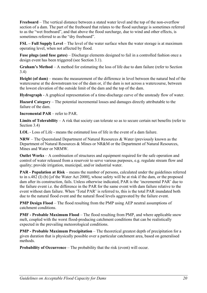**Freeboard** – The vertical distance between a stated water level and the top of the non-overflow section of a dam. The part of the freeboard that relates to the flood surcharge is sometimes referred to as the "wet freeboard", and that above the flood surcharge, due to wind and other effects, is sometimes referred to as the "dry freeboard".

**FSL – Full Supply Level** – The level of the water surface when the water storage is at maximum operating level, when not affected by flood.

**Fuse plugs (and fuse gates)** – Discharge elements designed to fail in a controlled fashion once a design event has been triggered (see Section 3.1).

**Graham's Method** – A method for estimating the loss of life due to dam failure (refer to Section 3.4)

**Height (of dam)** – means the measurement of the difference in level between the natural bed of the watercourse at the downstream toe of the dam or, if the dam is not across a watercourse, between the lowest elevation of the outside limit of the dam and the top of the dam.

**Hydrograph** - A graphical representation of a time-discharge curve of the unsteady flow of water.

**Hazard Category** – The potential incremental losses and damages directly attributable to the failure of the dam.

**Incremental PAR** – refer to PAR.

**Limits of Tolerability** – A risk that society can tolerate so as to secure certain net benefits (refer to Section 3.4)

**LOL** - Loss of Life - means the estimated loss of life in the event of a dam failure.

**NRW** – The Queensland Department of Natural Resources & Water (previously known as the Department of Natural Resources & Mines or NR&M or the Department of Natural Resources, Mines and Water or NRMW.

**Outlet Works** – A combination of structures and equipment required for the safe operation and control of water released from a reservoir to serve various purposes, e.g. regulate stream flow and quality; provide irrigation, municipal, and/or industrial water.

**PAR - Population at Risk** – means the number of persons, calculated under the guidelines referred to in s.482 (I) (b) [of the Water Act 2000], whose safety will be at risk if the dam, or the proposed dam after its construction, fails. Unless otherwise indicated, PAR is the 'incremental PAR' due to the failure event i.e. the difference in the PAR for the same event with dam failure relative to the event without dam failure. When 'Total PAR' is referred to, this is the total PAR inundated both due to the natural flood event and the natural flood levels aggravated by the failure event.

**PMP Design Flood** – The flood resulting from the PMP using AEP neutral assumptions of catchment conditions.

**PMF - Probable Maximum Flood** – The flood resulting from PMP, and where applicable snow melt, coupled with the worst flood-producing catchment conditions that can be realistically expected in the prevailing meteorological conditions.

**PMP - Probable Maximum Precipitation** – The theoretical greatest depth of precipitation for a given duration that is physically possible over a particular catchment area, based on generalised methods.

**Probability of Occurrence** – The probability that the risk (event) will occur.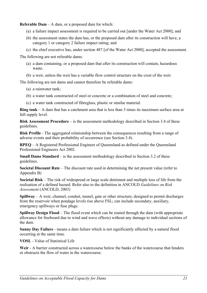**Referable Dam** – A dam, or a proposed dam for which:

- (a) a failure impact assessment is required to be carried out [under the Water Act 2000]; and
- (b) the assessment states the dam has, or the proposed dam after its construction will have, a category 1 or category 2 failure impact rating; and
- (c) the chief executive has, under section 487 [of the Water Act 2000], accepted the assessment.

The following are not referable dams:

- (a) a dam containing, or a proposed dam that after its construction will contain, hazardous waste.
- (b) a weir, unless the weir has a variable flow control structure on the crest of the weir.

The following are not dams and cannot therefore be referable dams:

- (a) a rainwater tank;
- (b) a water tank constructed of steel or concrete or a combination of steel and concrete;
- (c) a water tank constructed of fibreglass, plastic or similar material.

**Ring tank** – A dam that has a catchment area that is less than 3 times its maximum surface area at full supply level.

**Risk Assessment Procedure** – is the assessment methodology described in Section 3.4 of these guidelines.

**Risk Profile** - The aggregated relationship between the consequences resulting from a range of adverse events and their probability of occurrence (see Section 3.4).

**RPEQ** – A Registered Professional Engineer of Queensland as defined under the Queensland Professional Engineers Act 2002.

**Small Dams Standard** – is the assessment methodology described in Section 3.2 of these guidelines.

**Societal Discount Rate** – The discount rate used in determining the net present value (refer to Appendix B)

**Societal Risk** – The risk of widespread or large scale detriment and multiple loss of life from the realisation of a defined hazard. Refer also to the definition in ANCOLD *Guidelines on Risk Assessment* (ANCOLD, 2003)

**Spillway** – A weir, channel, conduit, tunnel, gate or other structure, designed to permit discharges from the reservoir when pondage levels rise above FSL; can include secondary, auxiliary, emergency spillways or fuse plugs.

**Spillway Design Flood** – The flood event which can be routed through the dam (with appropriate allowance for freeboard due to wind and wave effects) without any damage to individual sections of the dam.

**Sunny Day Failure** - means a dam failure which is not significantly affected by a natural flood occurring at the same time.

**VOSL** - Value of Statistical Life

**Weir** - A barrier constructed across a watercourse below the banks of the watercourse that hinders or obstructs the flow of water in the watercourse.